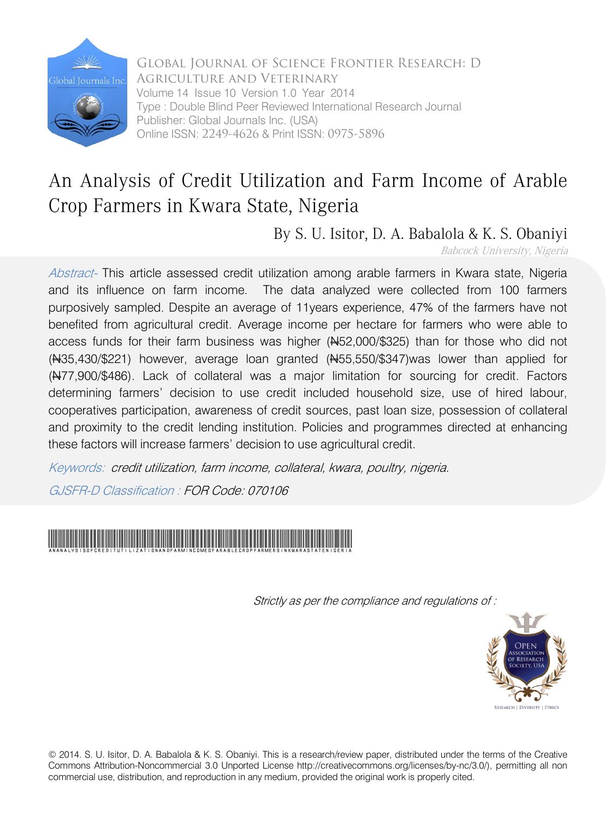

Global Journal of Science Frontier Research: D Agriculture and Veterinary Volume 14 Issue 10 Version 1.0 Year 2014 Type : Double Blind Peer Reviewed International Research Journal Publisher: Global Journals Inc. (USA) Online ISSN: 2249-4626 & Print ISSN: 0975-5896

### An Analysis of Credit Utilization and Farm Income of Arable Crop Farmers in Kwara State, Nigeria

By S. U. Isitor, D. A. Babalola & K. S. Obaniyi

Babcock University, Nigeria

Abstract- This article assessed credit utilization among arable farmers in Kwara state, Nigeria and its influence on farm income. The data analyzed were collected from 100 farmers purposively sampled. Despite an average of 11years experience, 47% of the farmers have not benefited from agricultural credit. Average income per hectare for farmers who were able to access funds for their farm business was higher (N52,000/\$325) than for those who did not (N35,430/\$221) however, average loan granted (N55,550/\$347)was lower than applied for  $(M77,900/\$486)$ . Lack of collateral was a major limitation for sourcing for credit. Factors determining farmers' decision to use credit included household size, use of hired labour, cooperatives participation, awareness of credit sources, past loan size, possession of collateral and proximity to the credit lending institution. Policies and programmes directed at enhancing these factors will increase farmers' decision to use agricultural credit.

Keywords: credit utilization, farm income, collateral, kwara, poultry, nigeria.

GJSFR-D Classification : FOR Code: 070106



Strictly as per the compliance and regulations of :



© 2014. S. U. Isitor, D. A. Babalola & K. S. Obaniyi. This is a research/review paper, distributed under the terms of the Creative Commons Attribution-Noncommercial 3.0 Unported License http://creativecommons.org/licenses/by-nc/3.0/), permitting all non commercial use, distribution, and reproduction in any medium, provided the original work is properly cited.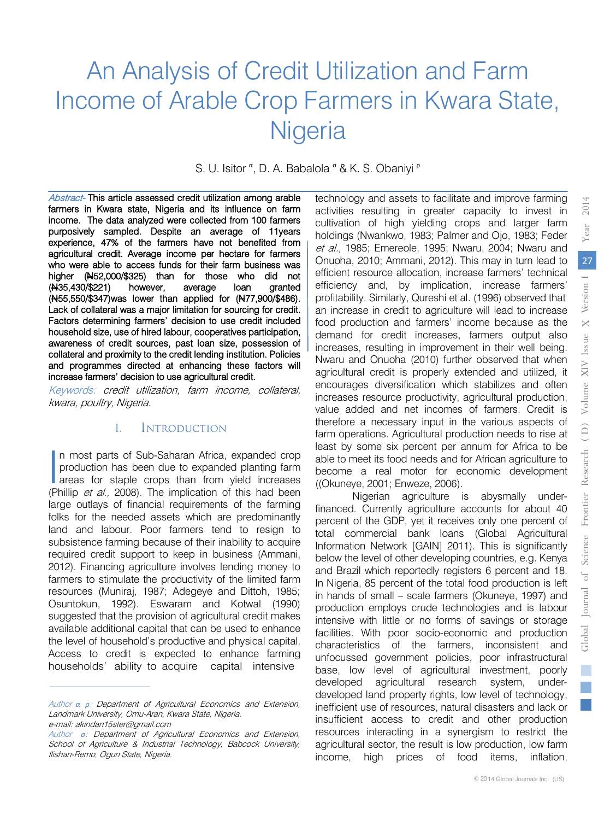## An Analysis of Credit Utilization and Farm Income of Arable Crop Farmers in Kwara State, Nigeria

S. U. Isitor <sup>α</sup>, D. A. Babalola <sup>σ</sup> & K. S. Obaniyi <sup>ρ</sup>

 farmers in Kwara state, Nigeria and its influence on farm Abstract- This article assessed credit utilization among arable income. The data analyzed were collected from 100 farmers purposively sampled. Despite an average of 11years experience, 47% of the farmers have not benefited from agricultural credit. Average income per hectare for farmers who were able to access funds for their farm business was higher (N52,000/\$325) than for those who did not (N35,430/\$221) however, average loan granted (N55,550/\$347) was lower than applied for (N77,900/\$486). Lack of collateral was a major limitation for sourcing for credit. Factors determining farmers' decision to use credit included household size, use of hired labour, cooperatives participation, awareness of credit sources, past loan size, possession of collateral and proximity to the credit lending institution. Policies and programmes directed at enhancing these factors will increase farmers' decision to use agricultural credit.

Keywords: credit utilization, farm income, collateral, kwara, poultry, Nigeria.

#### I. Introduction

n most parts of Sub-Saharan Africa, expanded crop production has been due to expanded planting farm In most parts of Sub-Saharan Africa, expanded crop<br>production has been due to expanded planting farm<br>areas for staple crops than from yield increases<br>(Phillip et al. 2008). The implication of this had been (Phillip et al., 2008). The implication of this had been large outlays of financial requirements of the farming folks for the needed assets which are predominantly land and labour. Poor farmers tend to resign to subsistence farming because of their inability to acquire required credit support to keep in business (Ammani, 2012). Financing agriculture involves lending money to farmers to stimulate the productivity of the limited farm resources (Muniraj, 1987; Adegeye and Dittoh, 1985; Osuntokun, 1992). Eswaram and Kotwal (1990) suggested that the provision of agricultural credit makes available additional capital that can be used to enhance the level of household's productive and physical capital. Access to credit is expected to enhance farming households' ability to acquire capital intensive

technology and assets to facilitate and improve farming activities resulting in greater capacity to invest in cultivation of high yielding crops and larger farm holdings (Nwankwo, 1983; Palmer and Ojo, 1983; Feder et al., 1985; Emereole, 1995; Nwaru, 2004; Nwaru and Onuoha, 2010; Ammani, 2012). This may in turn lead to efficient resource allocation, increase farmers' technical efficiency and, by implication, increase farmers' profitability. Similarly, Qureshi et al. (1996) observed that an increase in credit to agriculture will lead to increase food production and farmers' income because as the demand for credit increases, farmers output also increases, resulting in improvement in their well being. Nwaru and Onuoha (2010) further observed that when agricultural credit is properly extended and utilized, it encourages diversification which stabilizes and often increases resource productivity, agricultural production, value added and net incomes of farmers. Credit is therefore a necessary input in the various aspects of farm operations. Agricultural production needs to rise at least by some six percent per annum for Africa to be able to meet its food needs and for African agriculture to become a real motor for economic development ((Okuneye, 2001; Enweze, 2006).

Nigerian agriculture is abysmally underfinanced. Currently agriculture accounts for about 40 percent of the GDP, yet it receives only one percent of total commercial bank loans (Global Agricultural Information Network [GAIN] 2011). This is significantly below the level of other developing countries, e.g. Kenya and Brazil which reportedly registers 6 percent and 18. In Nigeria, 85 percent of the total food production is left in hands of small – scale farmers (Okuneye, 1997) and production employs crude technologies and is labour intensive with little or no forms of savings or storage facilities. With poor socio-economic and production characteristics of the farmers, inconsistent and unfocussed government policies, poor infrastructural base, low level of agricultural investment, poorly developed agricultural research system, underdeveloped land property rights, low level of technology, inefficient use of resources, natural disasters and lack or insufficient access to credit and other production resources interacting in a synergism to restrict the agricultural sector, the result is low production, low farm income, high prices of food items, inflation,

Author *α ρ*: Department of Agricultural Economics and Extension, Landmark University, Omu-Aran, Kwara State, Nigeria. e-mail: akindan15ster@gmail.com

Author *σ*: Department of Agricultural Economics and Extension, School of Agriculture & Industrial Technology, Babcock University, Ilishan-Remo, Ogun State, Nigeria.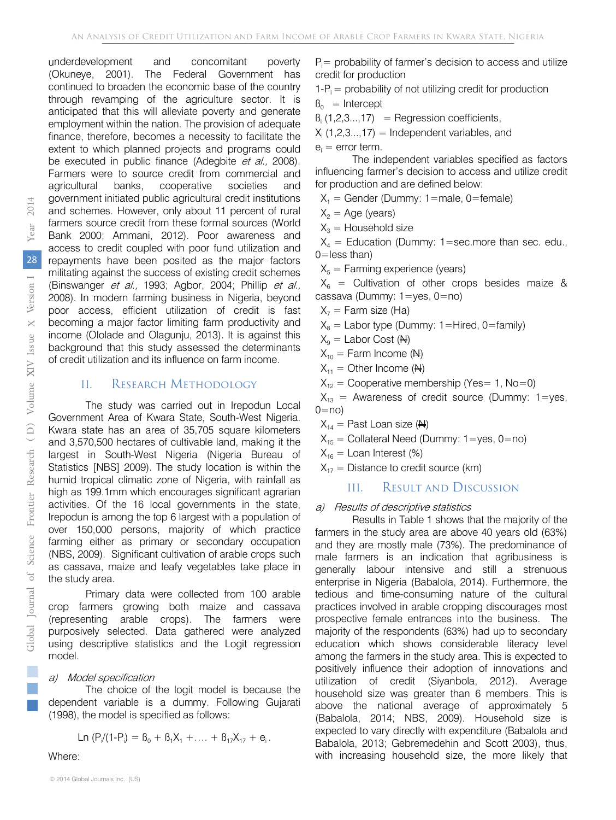underdevelopment and concomitant poverty (Okuneye, 2001). The Federal Government has continued to broaden the economic base of the country through revamping of the agriculture sector. It is anticipated that this will alleviate poverty and generate employment within the nation. The provision of adequate finance, therefore, becomes a necessity to facilitate the extent to which planned projects and programs could be executed in public finance (Adegbite et al., 2008). Farmers were to source credit from commercial and agricultural banks, cooperative societies and government initiated public agricultural credit institutions and schemes. However, only about 11 percent of rural farmers source credit from these formal sources (World Bank 2000; Ammani, 2012). Poor awareness and access to credit coupled with poor fund utilization and repayments have been posited as the major factors militating against the success of existing credit schemes (Binswanger et al., 1993; Agbor, 2004; Phillip et al., 2008). In modern farming business in Nigeria, beyond poor access, efficient utilization of credit is fast becoming a major factor limiting farm productivity and income (Ololade and Olagunju, 2013). It is against this background that this study assessed the determinants of credit utilization and its influence on farm income.

#### II. RESEARCH METHODOLOGY

The study was carried out in Irepodun Local Government Area of Kwara State, South-West Nigeria. Kwara state has an area of 35,705 square kilometers and 3,570,500 hectares of cultivable land, making it the largest in South-West Nigeria (Nigeria Bureau of Statistics [NBS] 2009). The study location is within the humid tropical climatic zone of Nigeria, with rainfall as high as 199.1mm which encourages significant agrarian activities. Of the 16 local governments in the state, Irepodun is among the top 6 largest with a population of over 150,000 persons, majority of which practice farming either as primary or secondary occupation (NBS, 2009). Significant cultivation of arable crops such as cassava, maize and leafy vegetables take place in the study area.

Primary data were collected from 100 arable crop farmers growing both maize and cassava (representing arable crops). The farmers were purposively selected. Data gathered were analyzed using descriptive statistics and the Logit regression model.

#### a) Model specification

The choice of the logit model is because the dependent variable is a dummy. Following Gujarati (1998), the model is specified as follows:

$$
Ln (P_{i}/(1-P_{i}) = B_{0} + B_{1}X_{1} + \ldots + B_{17}X_{17} + e_{i}.
$$

Where:

 $P_i$  = probability of farmer's decision to access and utilize credit for production

 $1-P_i =$  probability of not utilizing credit for production  $B = \text{Introduction}$ 

$$
P_0 = \text{intercept}
$$

 $B_i$  (1,2,3...,17) = Regression coefficients,

 $X_i$  (1,2,3...,17) = Independent variables, and

 $e_i$  = error term.

The independent variables specified as factors influencing farmer's decision to access and utilize credit for production and are defined below:

 $X_1$  = Gender (Dummy: 1=male, 0=female)

 $X_2$  = Age (years)

 $X_3$  = Household size

 $X_4$  = Education (Dummy: 1=sec.more than sec. edu., 0=less than)

 $X_5$  = Farming experience (years)

 $X_6$  = Cultivation of other crops besides maize & cassava (Dummy: 1=yes, 0=no)

- $X_7$  = Farm size (Ha)
- $X_8$  = Labor type (Dummy: 1=Hired, 0=family)

 $X_9$  = Labor Cost (N)

$$
X_{10} = \text{Farm Income} \ (\text{H})
$$

$$
X_{11} = Other Income (H)
$$

 $X_{12}$  = Cooperative membership (Yes= 1, No=0)

 $X_{13}$  = Awareness of credit source (Dummy: 1=yes,  $0=$ no)

 $X_{14}$  = Past Loan size (N)

 $X_{15}$  = Collateral Need (Dummy: 1=yes, 0=no)

 $X_{16}$  = Loan Interest (%)

 $X_{17}$  = Distance to credit source (km)

#### III. Result and Discussion

#### a) Results of descriptive statistics

Results in Table 1 shows that the majority of the farmers in the study area are above 40 years old (63%) and they are mostly male (73%). The predominance of male farmers is an indication that agribusiness is generally labour intensive and still a strenuous enterprise in Nigeria (Babalola, 2014). Furthermore, the tedious and time-consuming nature of the cultural practices involved in arable cropping discourages most prospective female entrances into the business. The majority of the respondents (63%) had up to secondary education which shows considerable literacy level among the farmers in the study area. This is expected to positively influence their adoption of innovations and utilization of credit (Siyanbola, 2012). Average household size was greater than 6 members. This is above the national average of approximately 5 (Babalola, 2014; NBS, 2009). Household size is expected to vary directly with expenditure (Babalola and Babalola, 2013; Gebremedehin and Scott 2003), thus, with increasing household size, the more likely that

T.  $\mathbb{R}^n$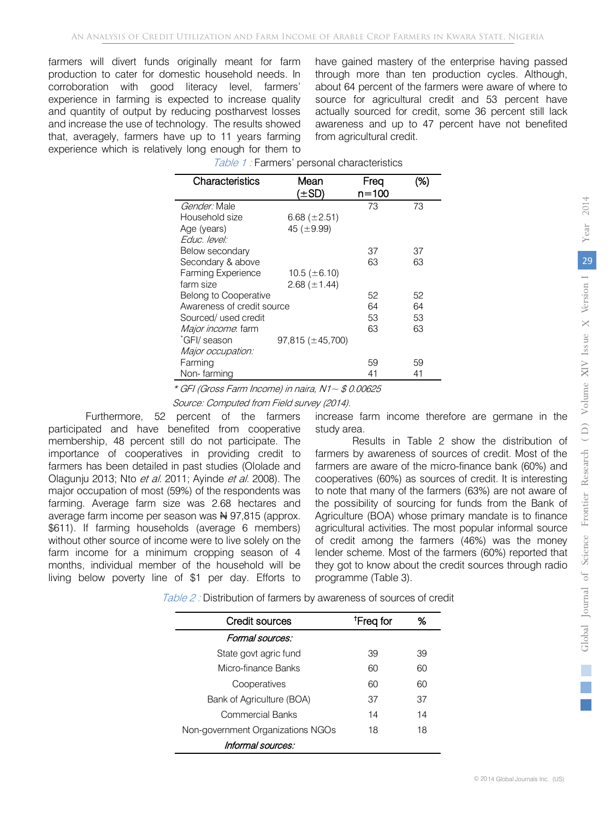farmers will divert funds originally meant for farm production to cater for domestic household needs. In corroboration with good literacy level, farmers' experience in farming is expected to increase quality and quantity of output by reducing postharvest losses and increase the use of technology. The results showed that, averagely, farmers have up to 11 years farming experience which is relatively long enough for them to

have gained mastery of the enterprise having passed through more than ten production cycles. Although, about 64 percent of the farmers were aware of where to source for agricultural credit and 53 percent have actually sourced for credit, some 36 percent still lack awareness and up to 47 percent have not benefited from agricultural credit.

| Characteristics            | Mean<br>(±SD)         | Freq<br>n=100 | (%) |
|----------------------------|-----------------------|---------------|-----|
|                            |                       |               |     |
| <i>Gender:</i> Male        |                       | 73            | 73  |
| Household size             | 6.68 $(\pm 2.51)$     |               |     |
| Age (years)                | 45 ( $\pm$ 9.99)      |               |     |
| Educ. level:               |                       |               |     |
| Below secondary            |                       | 37            | 37  |
| Secondary & above          |                       | 63            | 63  |
| <b>Farming Experience</b>  | 10.5 ( $\pm$ 6.10)    |               |     |
| farm size                  | 2.68 $(\pm 1.44)$     |               |     |
| Belong to Cooperative      |                       | 52            | 52  |
| Awareness of credit source |                       | 64            | 64  |
| Sourced/ used credit       |                       | 53            | 53  |
| Major income. farm         |                       | 63            | 63  |
| "GFI/ season               | $97,815 (\pm 45,700)$ |               |     |
| Major occupation:          |                       |               |     |
| Farming                    |                       | 59            | 59  |
| Non-farming                |                       | 41            | 41  |

| Table 1: Farmers' personal characteristics |  |
|--------------------------------------------|--|

 $*$  GFI (Gross Farm Income) in naira, N1 $\sim$  \$ 0.00625

Source: Computed from Field survey (2014).

Furthermore, 52 percent of the farmers participated and have benefited from cooperative membership, 48 percent still do not participate. The importance of cooperatives in providing credit to farmers has been detailed in past studies (Ololade and Olagunju 2013; Nto et al. 2011; Ayinde et al. 2008). The major occupation of most (59%) of the respondents was farming. Average farm size was 2.68 hectares and average farm income per season was  $\frac{1}{2}$  97,815 (approx. \$611). If farming households (average 6 members) without other source of income were to live solely on the farm income for a minimum cropping season of 4 months, individual member of the household will be living below poverty line of \$1 per day. Efforts to

increase farm income therefore are germane in the study area.

Results in Table 2 show the distribution of farmers by awareness of sources of credit. Most of the farmers are aware of the micro-finance bank (60%) and cooperatives (60%) as sources of credit. It is interesting to note that many of the farmers (63%) are not aware of the possibility of sourcing for funds from the Bank of Agriculture (BOA) whose primary mandate is to finance agricultural activities. The most popular informal source of credit among the farmers (46%) was the money lender scheme. Most of the farmers (60%) reported that they got to know about the credit sources through radio programme (Table 3).

Table 2 : Distribution of farmers by awareness of sources of credit

| Credit sources                    | <sup>†</sup> Freq for | ℅  |
|-----------------------------------|-----------------------|----|
| Formal sources:                   |                       |    |
| State govt agric fund             | 39                    | 39 |
| Micro-finance Banks               | 60                    | 60 |
| Cooperatives                      | 60                    | 60 |
| Bank of Agriculture (BOA)         | 37                    | 37 |
| Commercial Banks                  | 14                    | 14 |
| Non-government Organizations NGOs | 18                    | 18 |
| Informal sources:                 |                       |    |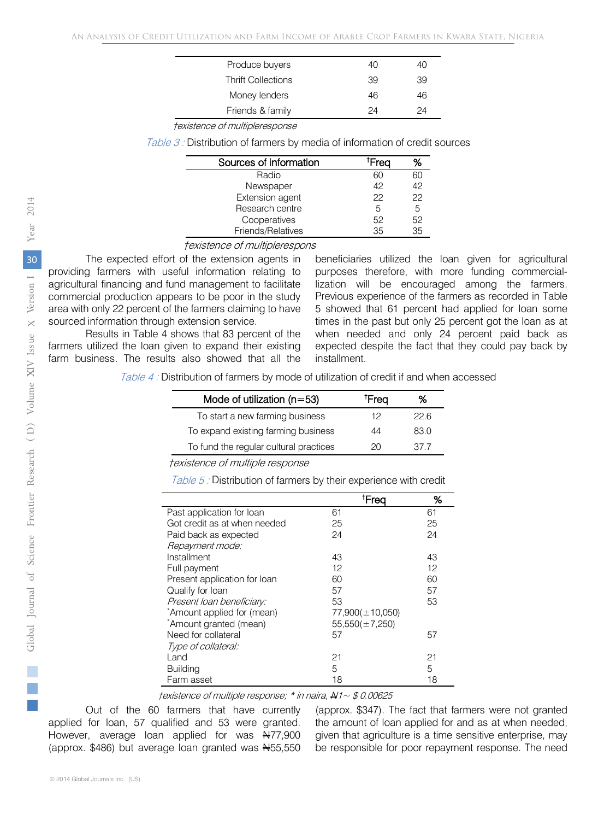| Produce buyers            | 40 | 40 |
|---------------------------|----|----|
| <b>Thrift Collections</b> | 39 | 39 |
| Money lenders             | 46 | 46 |
| Friends & family          | 24 | 24 |
|                           |    |    |

†existence of multipleresponse

Table 3 : Distribution of farmers by media of information of credit sources

| Sources of information | Frea | ℅  |
|------------------------|------|----|
| Radio                  | ഹ    | ഩ  |
| Newspaper              | 42   | 42 |
| Extension agent        | 22   | 22 |
| Research centre        | 5    | 5  |
| Cooperatives           | 52   | 52 |
| Friends/Relatives      | 35   | 35 |

†existence of multiplerespons

The expected effort of the extension agents in providing farmers with useful information relating to agricultural financing and fund management to facilitate commercial production appears to be poor in the study area with only 22 percent of the farmers claiming to have sourced information through extension service.

Results in Table 4 shows that 83 percent of the farmers utilized the loan given to expand their existing farm business. The results also showed that all the

beneficiaries utilized the loan given for agricultural purposes therefore, with more funding commerciallization will be encouraged among the farmers. Previous experience of the farmers as recorded in Table 5 showed that 61 percent had applied for loan some times in the past but only 25 percent got the loan as at when needed and only 24 percent paid back as expected despite the fact that they could pay back by installment.

Table 4 : Distribution of farmers by mode of utilization of credit if and when accessed

| Mode of utilization $(n=53)$           | †Freq | %    |
|----------------------------------------|-------|------|
| To start a new farming business        | 12    | 22 R |
| To expand existing farming business    | 44    | 83.0 |
| To fund the regular cultural practices | 20    | 37.7 |
|                                        |       |      |

†existence of multiple response

Table 5 : Distribution of farmers by their experience with credit

|                              | <sup>†</sup> Freq     | %  |
|------------------------------|-----------------------|----|
| Past application for loan    | 61                    | 61 |
| Got credit as at when needed | 25                    | 25 |
| Paid back as expected        | 24                    | 24 |
| Repayment mode:              |                       |    |
| Installment                  | 43                    | 43 |
| Full payment                 | 12                    | 12 |
| Present application for loan | 60                    | 60 |
| Qualify for loan             | 57                    | 57 |
| Present loan beneficiary:    | 53                    | 53 |
| *Amount applied for (mean)   | $77,900 (\pm 10,050)$ |    |
| *Amount granted (mean)       | $55,550(\pm 7,250)$   |    |
| Need for collateral          | 57                    | 57 |
| Type of collateral:          |                       |    |
| Land                         | 21                    | 21 |
| <b>Building</b>              | 5                     | 5  |
| Farm asset                   | 18                    | 18 |

 $$ 

Out of the 60 farmers that have currently applied for loan, 57 qualified and 53 were granted. However, average loan applied for was N77,900 (approx.  $$486$ ) but average loan granted was  $H55,550$ 

(approx. \$347). The fact that farmers were not granted the amount of loan applied for and as at when needed, given that agriculture is a time sensitive enterprise, may be responsible for poor repayment response. The need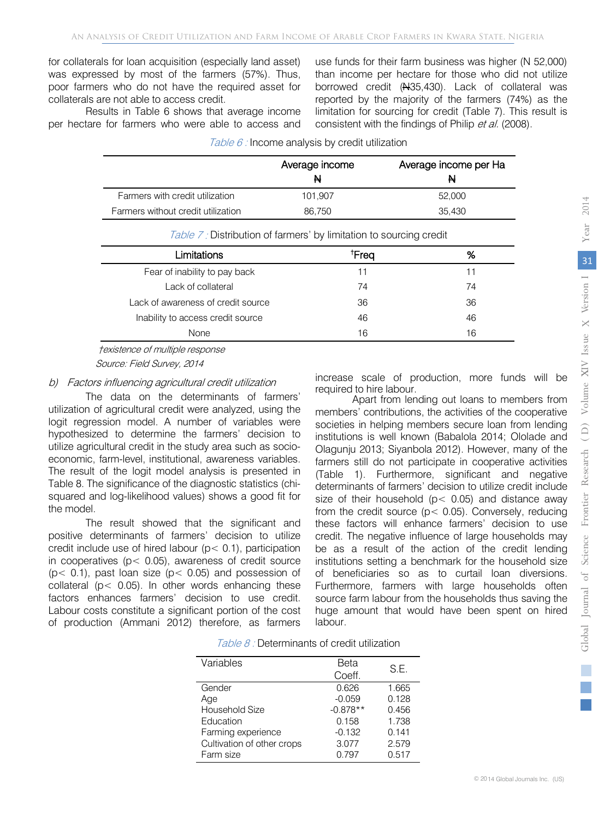for collaterals for loan acquisition (especially land asset) was expressed by most of the farmers (57%). Thus, poor farmers who do not have the required asset for collaterals are not able to access credit.

Results in Table 6 shows that average income per hectare for farmers who were able to access and use funds for their farm business was higher (N 52,000) than income per hectare for those who did not utilize borrowed credit (#35,430). Lack of collateral was reported by the majority of the farmers (74%) as the limitation for sourcing for credit (Table 7). This result is consistent with the findings of Philip et al. (2008).

|                                    | Average income<br>N | Average income per Ha<br>N |
|------------------------------------|---------------------|----------------------------|
| Farmers with credit utilization    | 101.907             | 52,000                     |
| Farmers without credit utilization | 86.750              | 35.430                     |

Table  $6$  : Income analysis by credit utilization

| <i>Table 7 :</i> Distribution of farmers' by limitation to sourcing credit |                   |    |  |
|----------------------------------------------------------------------------|-------------------|----|--|
| Limitations                                                                | <sup>†</sup> Frea | %  |  |
| Fear of inability to pay back                                              | 11                |    |  |
| Lack of collateral                                                         | 74                | 74 |  |
| Lack of awareness of credit source                                         | 36                | 36 |  |
| Inability to access credit source                                          | 46                | 46 |  |
| <b>None</b>                                                                | 16                | 16 |  |

†existence of multiple response

Source: Field Survey, 2014

#### b) Factors influencing agricultural credit utilization

The data on the determinants of farmers' utilization of agricultural credit were analyzed, using the logit regression model. A number of variables were hypothesized to determine the farmers' decision to utilize agricultural credit in the study area such as socioeconomic, farm-level, institutional, awareness variables. The result of the logit model analysis is presented in Table 8. The significance of the diagnostic statistics (chisquared and log-likelihood values) shows a good fit for the model.

The result showed that the significant and positive determinants of farmers' decision to utilize credit include use of hired labour (p< 0.1), participation in cooperatives (p< 0.05), awareness of credit source  $(p< 0.1)$ , past loan size  $(p< 0.05)$  and possession of collateral ( $p$  < 0.05). In other words enhancing these factors enhances farmers' decision to use credit. Labour costs constitute a significant portion of the cost of production (Ammani 2012) therefore, as farmers increase scale of production, more funds will be required to hire labour.

Apart from lending out loans to members from members' contributions, the activities of the cooperative societies in helping members secure loan from lending institutions is well known (Babalola 2014; Ololade and Olagunju 2013; Siyanbola 2012). However, many of the farmers still do not participate in cooperative activities (Table 1). Furthermore, significant and negative determinants of farmers' decision to utilize credit include size of their household ( $p$  < 0.05) and distance away from the credit source ( $p$ < 0.05). Conversely, reducing these factors will enhance farmers' decision to use credit. The negative influence of large households may be as a result of the action of the credit lending institutions setting a benchmark for the household size of beneficiaries so as to curtail loan diversions. Furthermore, farmers with large households often source farm labour from the households thus saving the huge amount that would have been spent on hired labour.

| <i>Table 8:</i> Determinants of credit utilization |  |  |  |  |
|----------------------------------------------------|--|--|--|--|
|----------------------------------------------------|--|--|--|--|

| Variables                  | Beta       | S.E.  |
|----------------------------|------------|-------|
|                            | Coeff.     |       |
| Gender                     | 0.626      | 1.665 |
| Age                        | $-0.059$   | 0.128 |
| Household Size             | $-0.878**$ | 0.456 |
| Education                  | 0.158      | 1.738 |
| Farming experience         | $-0.132$   | 0.141 |
| Cultivation of other crops | 3.077      | 2.579 |
| Farm size                  | 0.797      | 0.517 |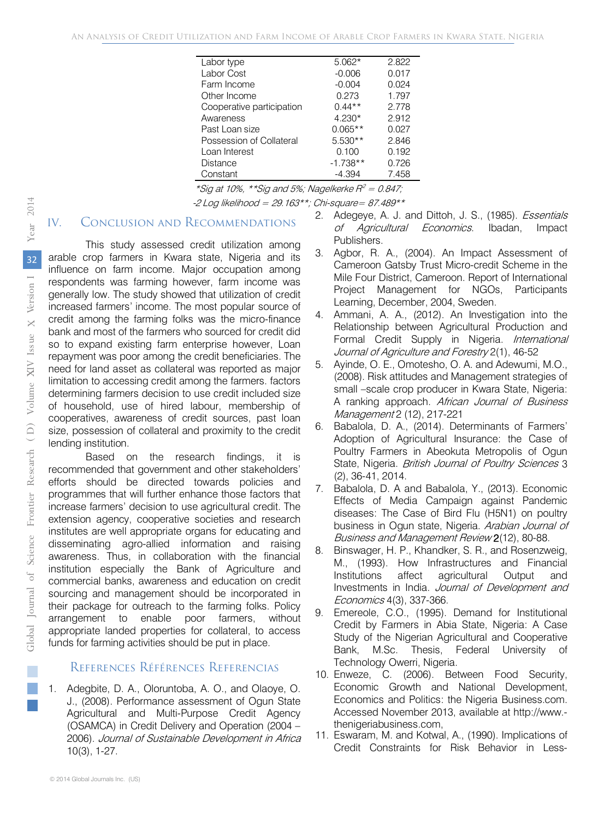| Labor type                | $5.062*$   | 2.822 |
|---------------------------|------------|-------|
| Labor Cost                | $-0.006$   | 0.017 |
| Farm Income               | $-0.004$   | 0.024 |
| Other Income              | 0.273      | 1.797 |
| Cooperative participation | $0.44**$   | 2.778 |
| Awareness                 | $4.230*$   | 2.912 |
| Past Loan size            | $0.065**$  | 0.027 |
| Possession of Collateral  | $5.530**$  | 2.846 |
| Loan Interest             | 0.100      | 0.192 |
| Distance                  | $-1.738**$ | 0.726 |
| Constant                  | $-4.394$   | 7.458 |

\*Sig at 10%, \*\*Sig and 5%; Nagelkerke  $R^2 = 0.847$ ;  $-2$  Log likelihood = 29.163\*\*; Chi-square= 87.489\*\*

### IV. Conclusion and Recommendations

This study assessed credit utilization among arable crop farmers in Kwara state, Nigeria and its influence on farm income. Major occupation among respondents was farming however, farm income was generally low. The study showed that utilization of credit increased farmers' income. The most popular source of credit among the farming folks was the micro-finance bank and most of the farmers who sourced for credit did so to expand existing farm enterprise however. Loan repayment was poor among the credit beneficiaries. The need for land asset as collateral was reported as major limitation to accessing credit among the farmers. factors determining farmers decision to use credit included size of household, use of hired labour, membership of cooperatives, awareness of credit sources, past loan size, possession of collateral and proximity to the credit lending institution.

Based on the research findings, it is recommended that government and other stakeholders' efforts should be directed towards policies and programmes that will further enhance those factors that increase farmers' decision to use agricultural credit. The extension agency, cooperative societies and research institutes are well appropriate organs for educating and disseminating agro-allied information and raising awareness. Thus, in collaboration with the financial institution especially the Bank of Agriculture and commercial banks, awareness and education on credit sourcing and management should be incorporated in their package for outreach to the farming folks. Policy arrangement to enable poor farmers, without appropriate landed properties for collateral, to access funds for farming activities should be put in place.

#### References Références Referencias

1. Adegbite, D. A., Oloruntoba, A. O., and Olaoye, O. J., (2008). Performance assessment of Ogun State Agricultural and Multi-Purpose Credit Agency (OSAMCA) in Credit Delivery and Operation (2004 – 2006). Journal of Sustainable Development in Africa 10(3), 1-27.

- 2. Adegeye, A. J. and Dittoh, J. S., (1985). Essentials of Agricultural Economics. Ibadan, Impact Publishers.
- 3. Agbor, R. A., (2004). An Impact Assessment of Cameroon Gatsby Trust Micro-credit Scheme in the Mile Four District, Cameroon. Report of International Project Management for NGOs, Participants Learning, December, 2004, Sweden.
- 4. Ammani, A. A., (2012). An Investigation into the Relationship between Agricultural Production and Formal Credit Supply in Nigeria. International Journal of Agriculture and Forestry 2(1), 46-52
- 5. Ayinde, O. E., Omotesho, O. A. and Adewumi, M.O., (2008). Risk attitudes and Management strategies of small –scale crop producer in Kwara State, Nigeria: A ranking approach. African Journal of Business Management 2 (12), 217-221
- 6. Babalola, D. A., (2014). Determinants of Farmers' Adoption of Agricultural Insurance: the Case of Poultry Farmers in Abeokuta Metropolis of Ogun State, Nigeria. British Journal of Poultry Sciences 3 (2), 36-41, 2014.
- 7. Babalola, D. A and Babalola, Y., (2013). Economic Effects of Media Campaign against Pandemic diseases: The Case of Bird Flu (H5N1) on poultry business in Ogun state, Nigeria. Arabian Journal of Business and Management Review 2(12), 80-88.
- 8. Binswager, H. P., Khandker, S. R., and Rosenzweig, M., (1993). How Infrastructures and Financial Institutions affect agricultural Output and Investments in India. Journal of Development and Economics 4(3), 337-366.
- 9. Emereole, C.O., (1995). Demand for Institutional Credit by Farmers in Abia State, Nigeria: A Case Study of the Nigerian Agricultural and Cooperative Bank, M.Sc. Thesis, Federal University of Technology Owerri, Nigeria.
- 10. Enweze, C. (2006). Between Food Security, Economic Growth and National Development, Economics and Politics: the Nigeria Business.com. Accessed November 2013, available at http://www. thenigeriabusiness.com,
- 11. Eswaram, M. and Kotwal, A., (1990). Implications of Credit Constraints for Risk Behavior in Less-

p.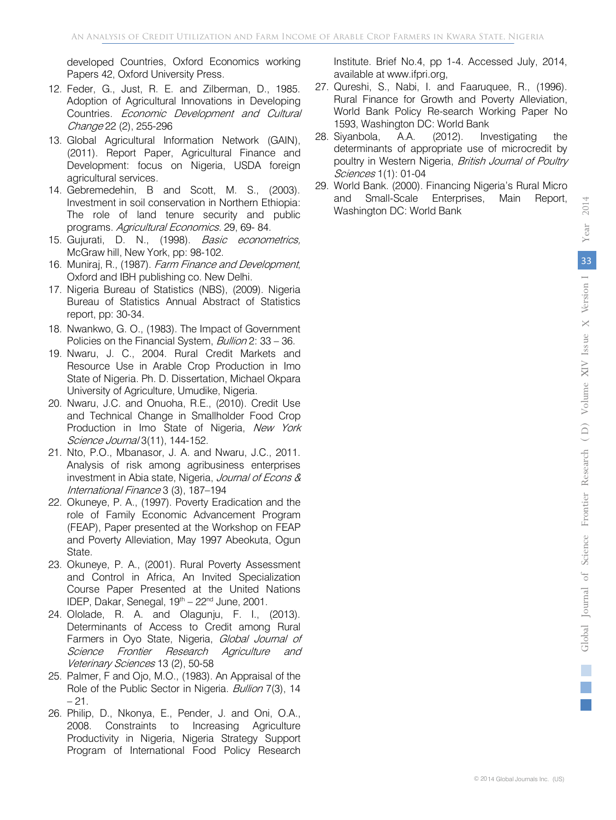developed Countries, Oxford Economics working Papers 42, Oxford University Press.

- 12. Feder, G., Just, R. E. and Zilberman, D., 1985. Adoption of Agricultural Innovations in Developing Countries. Economic Development and Cultural Change 22 (2), 255-296
- 13. Global Agricultural Information Network (GAIN), (2011). Report Paper, Agricultural Finance and Development: focus on Nigeria, USDA foreign agricultural services.
- 14. Gebremedehin, B and Scott, M. S., (2003). Investment in soil conservation in Northern Ethiopia: The role of land tenure security and public programs. Agricultural Economics. 29, 69- 84.
- 15. Gujurati, D. N., (1998). Basic econometrics, McGraw hill, New York, pp: 98-102.
- 16. Muniraj, R., (1987). Farm Finance and Development, Oxford and IBH publishing co. New Delhi.
- 17. Nigeria Bureau of Statistics (NBS), (2009). Nigeria Bureau of Statistics Annual Abstract of Statistics report, pp: 30-34.
- 18. Nwankwo, G. O., (1983). The Impact of Government Policies on the Financial System, *Bullion* 2: 33 - 36.
- 19. Nwaru, J. C., 2004. Rural Credit Markets and Resource Use in Arable Crop Production in Imo State of Nigeria. Ph. D. Dissertation, Michael Okpara University of Agriculture, Umudike, Nigeria.
- 20. Nwaru, J.C. and Onuoha, R.E., (2010). Credit Use and Technical Change in Smallholder Food Crop Production in Imo State of Nigeria, New York Science Journal 3(11), 144-152.
- 21. Nto, P.O., Mbanasor, J. A. and Nwaru, J.C., 2011. Analysis of risk among agribusiness enterprises investment in Abia state, Nigeria, Journal of Econs & International Finance 3 (3), 187–194
- 22. Okuneye, P. A., (1997). Poverty Eradication and the role of Family Economic Advancement Program (FEAP), Paper presented at the Workshop on FEAP and Poverty Alleviation, May 1997 Abeokuta, Ogun State.
- 23. Okuneye, P. A., (2001). Rural Poverty Assessment and Control in Africa, An Invited Specialization Course Paper Presented at the United Nations IDEP, Dakar, Senegal,  $19<sup>th</sup> - 22<sup>nd</sup>$  June, 2001.
- 24. Ololade, R. A. and Olagunju, F. I., (2013). Determinants of Access to Credit among Rural Farmers in Oyo State, Nigeria, Global Journal of Science Frontier Research Agriculture and Veterinary Sciences 13 (2), 50-58
- 25. Palmer, F and Ojo, M.O., (1983). An Appraisal of the Role of the Public Sector in Nigeria. Bullion 7(3), 14  $-21.$
- 26. Philip, D., Nkonya, E., Pender, J. and Oni, O.A., 2008. Constraints to Increasing Agriculture Productivity in Nigeria, Nigeria Strategy Support Program of International Food Policy Research

Institute. Brief No.4, pp 1-4. Accessed July, 2014, available at www.ifpri.org,

- 27. Qureshi, S., Nabi, I. and Faaruquee, R., (1996). Rural Finance for Growth and Poverty Alleviation, World Bank Policy Re-search Working Paper No 1593, Washington DC: World Bank
- 28. Siyanbola, A.A. (2012). Investigating the determinants of appropriate use of microcredit by poultry in Western Nigeria, British Journal of Poultry Sciences 1(1): 01-04
- 29. World Bank. (2000). Financing Nigeria's Rural Micro and Small-Scale Enterprises, Main Report, Washington DC: World Bank